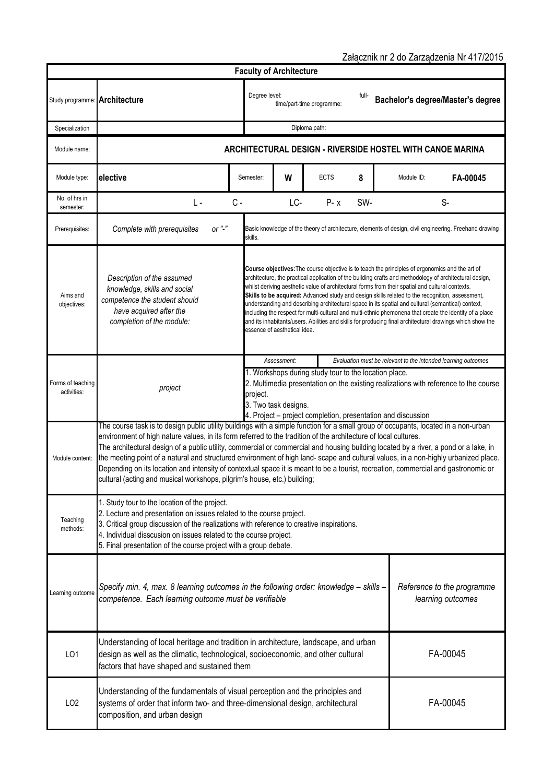| Załącznik nr 2 do Zarządzenia Nr 417/2015 |                                                                                                                                                                                                                                                                                                                                                                                                                                                                                                                                                                                                                                                                                                                                                         |                                                                                                                                          |                                                                                                                                                                                                                                                                                                                                                                                                                                                                                                                                                                                                                                                                                                                                                                                        |                                |                           |       |  |            |                                                                                                        |
|-------------------------------------------|---------------------------------------------------------------------------------------------------------------------------------------------------------------------------------------------------------------------------------------------------------------------------------------------------------------------------------------------------------------------------------------------------------------------------------------------------------------------------------------------------------------------------------------------------------------------------------------------------------------------------------------------------------------------------------------------------------------------------------------------------------|------------------------------------------------------------------------------------------------------------------------------------------|----------------------------------------------------------------------------------------------------------------------------------------------------------------------------------------------------------------------------------------------------------------------------------------------------------------------------------------------------------------------------------------------------------------------------------------------------------------------------------------------------------------------------------------------------------------------------------------------------------------------------------------------------------------------------------------------------------------------------------------------------------------------------------------|--------------------------------|---------------------------|-------|--|------------|--------------------------------------------------------------------------------------------------------|
|                                           |                                                                                                                                                                                                                                                                                                                                                                                                                                                                                                                                                                                                                                                                                                                                                         |                                                                                                                                          |                                                                                                                                                                                                                                                                                                                                                                                                                                                                                                                                                                                                                                                                                                                                                                                        | <b>Faculty of Architecture</b> |                           |       |  |            |                                                                                                        |
| Study programme: Architecture             |                                                                                                                                                                                                                                                                                                                                                                                                                                                                                                                                                                                                                                                                                                                                                         | Degree level:                                                                                                                            |                                                                                                                                                                                                                                                                                                                                                                                                                                                                                                                                                                                                                                                                                                                                                                                        |                                | time/part-time programme: | full- |  |            | Bachelor's degree/Master's degree                                                                      |
| Specialization                            |                                                                                                                                                                                                                                                                                                                                                                                                                                                                                                                                                                                                                                                                                                                                                         |                                                                                                                                          | Diploma path:                                                                                                                                                                                                                                                                                                                                                                                                                                                                                                                                                                                                                                                                                                                                                                          |                                |                           |       |  |            |                                                                                                        |
| Module name:                              | ARCHITECTURAL DESIGN - RIVERSIDE HOSTEL WITH CANOE MARINA                                                                                                                                                                                                                                                                                                                                                                                                                                                                                                                                                                                                                                                                                               |                                                                                                                                          |                                                                                                                                                                                                                                                                                                                                                                                                                                                                                                                                                                                                                                                                                                                                                                                        |                                |                           |       |  |            |                                                                                                        |
| Module type:                              | elective                                                                                                                                                                                                                                                                                                                                                                                                                                                                                                                                                                                                                                                                                                                                                | Semester:                                                                                                                                |                                                                                                                                                                                                                                                                                                                                                                                                                                                                                                                                                                                                                                                                                                                                                                                        | W                              | <b>ECTS</b>               | 8     |  | Module ID: | FA-00045                                                                                               |
| No. of hrs in<br>semester:                | L -                                                                                                                                                                                                                                                                                                                                                                                                                                                                                                                                                                                                                                                                                                                                                     | $C -$                                                                                                                                    |                                                                                                                                                                                                                                                                                                                                                                                                                                                                                                                                                                                                                                                                                                                                                                                        | LC-                            | $P - x$                   | SW-   |  |            | $S-$                                                                                                   |
| Prerequisites:                            | or $"$ -"<br>Complete with prerequisites                                                                                                                                                                                                                                                                                                                                                                                                                                                                                                                                                                                                                                                                                                                | skills.                                                                                                                                  |                                                                                                                                                                                                                                                                                                                                                                                                                                                                                                                                                                                                                                                                                                                                                                                        |                                |                           |       |  |            | Basic knowledge of the theory of architecture, elements of design, civil engineering. Freehand drawing |
| Aims and<br>objectives:                   | Description of the assumed<br>knowledge, skills and social<br>competence the student should<br>have acquired after the<br>completion of the module:                                                                                                                                                                                                                                                                                                                                                                                                                                                                                                                                                                                                     |                                                                                                                                          | <b>Course objectives:</b> The course objective is to teach the principles of ergonomics and the art of<br>architecture, the practical application of the building crafts and methodology of architectural design,<br>whilst deriving aesthetic value of architectural forms from their spatial and cultural contexts.<br>Skills to be acquired: Advanced study and design skills related to the recognition, assessment,<br>understanding and describing architectural space in its spatial and cultural (semantical) context,<br>including the respect for multi-cultural and multi-ethnic phemonena that create the identity of a place<br>and its inhabitants/users. Abilities and skills for producing final architectural drawings which show the<br>essence of aesthetical idea. |                                |                           |       |  |            |                                                                                                        |
|                                           |                                                                                                                                                                                                                                                                                                                                                                                                                                                                                                                                                                                                                                                                                                                                                         |                                                                                                                                          | Assessment:<br>Evaluation must be relevant to the intended learning outcomes                                                                                                                                                                                                                                                                                                                                                                                                                                                                                                                                                                                                                                                                                                           |                                |                           |       |  |            |                                                                                                        |
| Forms of teaching<br>activities:          | project                                                                                                                                                                                                                                                                                                                                                                                                                                                                                                                                                                                                                                                                                                                                                 |                                                                                                                                          | 1. Workshops during study tour to the location place.<br>2. Multimedia presentation on the existing realizations with reference to the course<br>project.<br>3. Two task designs.<br>4. Project - project completion, presentation and discussion                                                                                                                                                                                                                                                                                                                                                                                                                                                                                                                                      |                                |                           |       |  |            |                                                                                                        |
| Module content:                           | The course task is to design public utility buildings with a simple function for a small group of occupants, located in a non-urban<br>environment of high nature values, in its form referred to the tradition of the architecture of local cultures.<br>The architectural design of a public utility, commercial or commercial and housing building located by a river, a pond or a lake, in<br>the meeting point of a natural and structured environment of high land- scape and cultural values, in a non-highly urbanized place.<br>Depending on its location and intensity of contextual space it is meant to be a tourist, recreation, commercial and gastronomic or<br>cultural (acting and musical workshops, pilgrim's house, etc.) building; |                                                                                                                                          |                                                                                                                                                                                                                                                                                                                                                                                                                                                                                                                                                                                                                                                                                                                                                                                        |                                |                           |       |  |            |                                                                                                        |
| Teaching<br>methods:                      | 1. Study tour to the location of the project.<br>2. Lecture and presentation on issues related to the course project.<br>3. Critical group discussion of the realizations with reference to creative inspirations.<br>4. Individual disscusion on issues related to the course project.<br>5. Final presentation of the course project with a group debate.                                                                                                                                                                                                                                                                                                                                                                                             |                                                                                                                                          |                                                                                                                                                                                                                                                                                                                                                                                                                                                                                                                                                                                                                                                                                                                                                                                        |                                |                           |       |  |            |                                                                                                        |
| Learning outcome                          | competence. Each learning outcome must be verifiable                                                                                                                                                                                                                                                                                                                                                                                                                                                                                                                                                                                                                                                                                                    | Specify min. 4, max. 8 learning outcomes in the following order: knowledge - skills -<br>Reference to the programme<br>learning outcomes |                                                                                                                                                                                                                                                                                                                                                                                                                                                                                                                                                                                                                                                                                                                                                                                        |                                |                           |       |  |            |                                                                                                        |
| LO <sub>1</sub>                           | Understanding of local heritage and tradition in architecture, landscape, and urban<br>FA-00045<br>design as well as the climatic, technological, socioeconomic, and other cultural<br>factors that have shaped and sustained them                                                                                                                                                                                                                                                                                                                                                                                                                                                                                                                      |                                                                                                                                          |                                                                                                                                                                                                                                                                                                                                                                                                                                                                                                                                                                                                                                                                                                                                                                                        |                                |                           |       |  |            |                                                                                                        |
| LO <sub>2</sub>                           | Understanding of the fundamentals of visual perception and the principles and<br>FA-00045<br>systems of order that inform two- and three-dimensional design, architectural<br>composition, and urban design                                                                                                                                                                                                                                                                                                                                                                                                                                                                                                                                             |                                                                                                                                          |                                                                                                                                                                                                                                                                                                                                                                                                                                                                                                                                                                                                                                                                                                                                                                                        |                                |                           |       |  |            |                                                                                                        |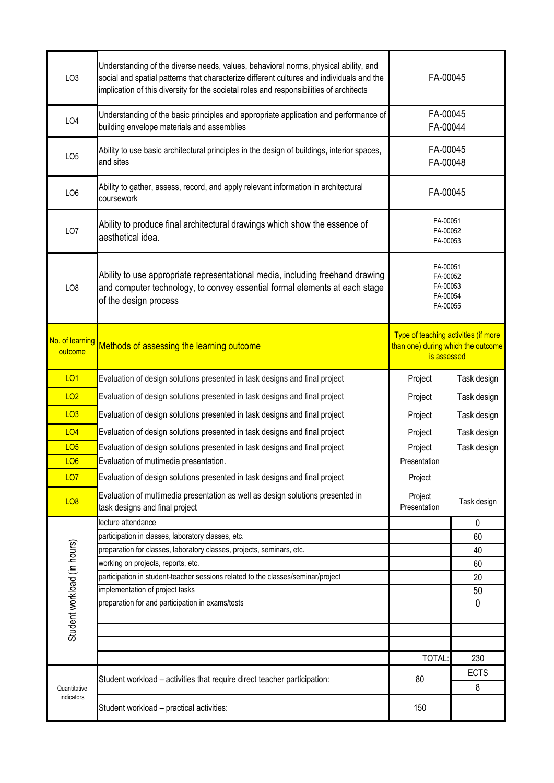| LO <sub>3</sub>             | Understanding of the diverse needs, values, behavioral norms, physical ability, and<br>social and spatial patterns that characterize different cultures and individuals and the<br>implication of this diversity for the societal roles and responsibilities of architects | FA-00045                                                                                  |             |
|-----------------------------|----------------------------------------------------------------------------------------------------------------------------------------------------------------------------------------------------------------------------------------------------------------------------|-------------------------------------------------------------------------------------------|-------------|
| LO4                         | Understanding of the basic principles and appropriate application and performance of<br>building envelope materials and assemblies                                                                                                                                         | FA-00045<br>FA-00044                                                                      |             |
| LO <sub>5</sub>             | Ability to use basic architectural principles in the design of buildings, interior spaces,<br>and sites                                                                                                                                                                    | FA-00045<br>FA-00048                                                                      |             |
| LO <sub>6</sub>             | Ability to gather, assess, record, and apply relevant information in architectural<br>coursework                                                                                                                                                                           | FA-00045                                                                                  |             |
| LO <sub>7</sub>             | Ability to produce final architectural drawings which show the essence of<br>aesthetical idea.                                                                                                                                                                             | FA-00051<br>FA-00052<br>FA-00053                                                          |             |
| LO <sub>8</sub>             | Ability to use appropriate representational media, including freehand drawing<br>and computer technology, to convey essential formal elements at each stage<br>of the design process                                                                                       | FA-00051<br>FA-00052<br>FA-00053<br>FA-00054<br>FA-00055                                  |             |
| No. of learning<br>outcome  | Methods of assessing the learning outcome                                                                                                                                                                                                                                  | Type of teaching activities (if more<br>than one) during which the outcome<br>is assessed |             |
| <b>LO1</b>                  | Evaluation of design solutions presented in task designs and final project                                                                                                                                                                                                 | Project                                                                                   | Task design |
| LO <sub>2</sub>             | Evaluation of design solutions presented in task designs and final project                                                                                                                                                                                                 | Project                                                                                   | Task design |
| LO3                         | Evaluation of design solutions presented in task designs and final project                                                                                                                                                                                                 | Project                                                                                   | Task design |
| LO4                         | Evaluation of design solutions presented in task designs and final project                                                                                                                                                                                                 | Project                                                                                   | Task design |
| LO <sub>5</sub>             | Evaluation of design solutions presented in task designs and final project                                                                                                                                                                                                 | Project                                                                                   | Task design |
| LO <sub>6</sub>             | Evaluation of mutimedia presentation.                                                                                                                                                                                                                                      | Presentation                                                                              |             |
| <b>LO7</b>                  | Evaluation of design solutions presented in task designs and final project                                                                                                                                                                                                 | Project                                                                                   |             |
| <b>LO8</b>                  | Evaluation of multimedia presentation as well as design solutions presented in<br>task designs and final project                                                                                                                                                           | Project<br>Presentation                                                                   | Task design |
|                             | lecture attendance                                                                                                                                                                                                                                                         |                                                                                           | 0           |
|                             | participation in classes, laboratory classes, etc.                                                                                                                                                                                                                         |                                                                                           | 60          |
|                             | preparation for classes, laboratory classes, projects, seminars, etc.<br>working on projects, reports, etc.                                                                                                                                                                |                                                                                           | 40<br>60    |
|                             | participation in student-teacher sessions related to the classes/seminar/project                                                                                                                                                                                           |                                                                                           | 20          |
|                             | implementation of project tasks                                                                                                                                                                                                                                            |                                                                                           | 50          |
|                             | preparation for and participation in exams/tests                                                                                                                                                                                                                           |                                                                                           | 0           |
| Student workload (in hours) |                                                                                                                                                                                                                                                                            |                                                                                           |             |
|                             |                                                                                                                                                                                                                                                                            |                                                                                           |             |
|                             |                                                                                                                                                                                                                                                                            | <b>TOTAL</b>                                                                              | 230         |
|                             |                                                                                                                                                                                                                                                                            |                                                                                           | <b>ECTS</b> |
| Quantitative<br>indicators  | Student workload - activities that require direct teacher participation:                                                                                                                                                                                                   | 80                                                                                        | 8           |
|                             | Student workload - practical activities:                                                                                                                                                                                                                                   | 150                                                                                       |             |